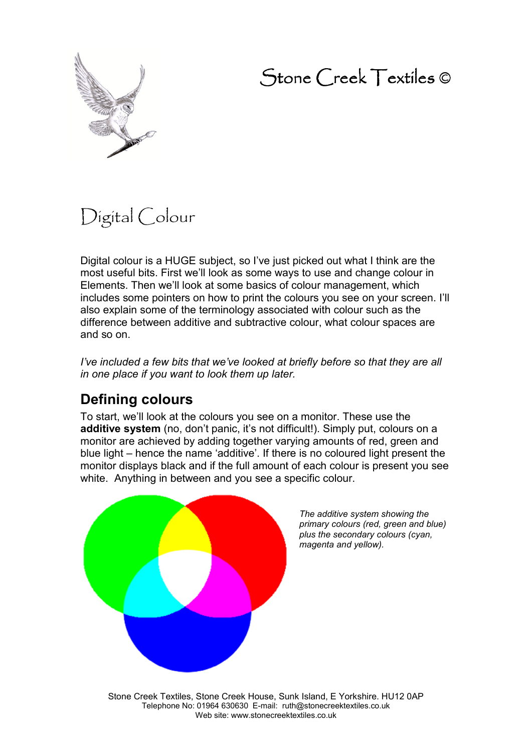## Stone Creek Textiles ©



# Digital Colour

Digital colour is a HUGE subject, so I've just picked out what I think are the most useful bits. First we'll look as some ways to use and change colour in Elements. Then we'll look at some basics of colour management, which includes some pointers on how to print the colours you see on your screen. I'll also explain some of the terminology associated with colour such as the difference between additive and subtractive colour, what colour spaces are and so on.

*I've included a few bits that we've looked at briefly before so that they are all in one place if you want to look them up later.* 

### **Defining colours**

To start, we'll look at the colours you see on a monitor. These use the **additive system** (no, don't panic, it's not difficult!). Simply put, colours on a monitor are achieved by adding together varying amounts of red, green and blue light – hence the name 'additive'. If there is no coloured light present the monitor displays black and if the full amount of each colour is present you see white. Anything in between and you see a specific colour.



*The additive system showing the primary colours (red, green and blue) plus the secondary colours (cyan, magenta and yellow).* 

Stone Creek Textiles, Stone Creek House, Sunk Island, E Yorkshire. HU12 0AP Telephone No: 01964 630630 E-mail: ruth@stonecreektextiles.co.uk Web site: www.stonecreektextiles.co.uk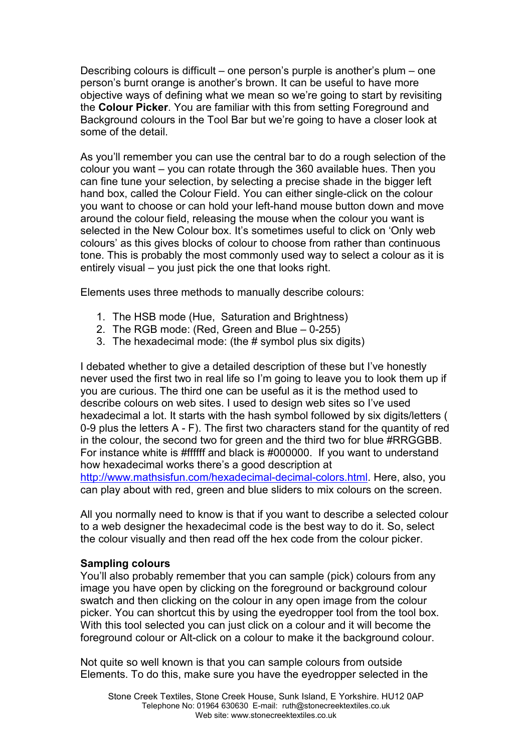Describing colours is difficult – one person's purple is another's plum – one person's burnt orange is another's brown. It can be useful to have more objective ways of defining what we mean so we're going to start by revisiting the **Colour Picker**. You are familiar with this from setting Foreground and Background colours in the Tool Bar but we're going to have a closer look at some of the detail.

As you'll remember you can use the central bar to do a rough selection of the colour you want – you can rotate through the 360 available hues. Then you can fine tune your selection, by selecting a precise shade in the bigger left hand box, called the Colour Field. You can either single-click on the colour you want to choose or can hold your left-hand mouse button down and move around the colour field, releasing the mouse when the colour you want is selected in the New Colour box. It's sometimes useful to click on 'Only web colours' as this gives blocks of colour to choose from rather than continuous tone. This is probably the most commonly used way to select a colour as it is entirely visual – you just pick the one that looks right.

Elements uses three methods to manually describe colours:

- 1. The HSB mode (Hue, Saturation and Brightness)
- 2. The RGB mode: (Red, Green and Blue 0-255)
- 3. The hexadecimal mode: (the # symbol plus six digits)

I debated whether to give a detailed description of these but I've honestly never used the first two in real life so I'm going to leave you to look them up if you are curious. The third one can be useful as it is the method used to describe colours on web sites. I used to design web sites so I've used hexadecimal a lot. It starts with the hash symbol followed by six digits/letters ( 0-9 plus the letters A - F). The first two characters stand for the quantity of red in the colour, the second two for green and the third two for blue #RRGGBB. For instance white is #ffffff and black is #000000. If you want to understand how hexadecimal works there's a good description at http://www.mathsisfun.com/hexadecimal-decimal-colors.html. Here, also, you can play about with red, green and blue sliders to mix colours on the screen.

All you normally need to know is that if you want to describe a selected colour to a web designer the hexadecimal code is the best way to do it. So, select the colour visually and then read off the hex code from the colour picker.

#### **Sampling colours**

You'll also probably remember that you can sample (pick) colours from any image you have open by clicking on the foreground or background colour swatch and then clicking on the colour in any open image from the colour picker. You can shortcut this by using the eyedropper tool from the tool box. With this tool selected you can just click on a colour and it will become the foreground colour or Alt-click on a colour to make it the background colour.

Not quite so well known is that you can sample colours from outside Elements. To do this, make sure you have the eyedropper selected in the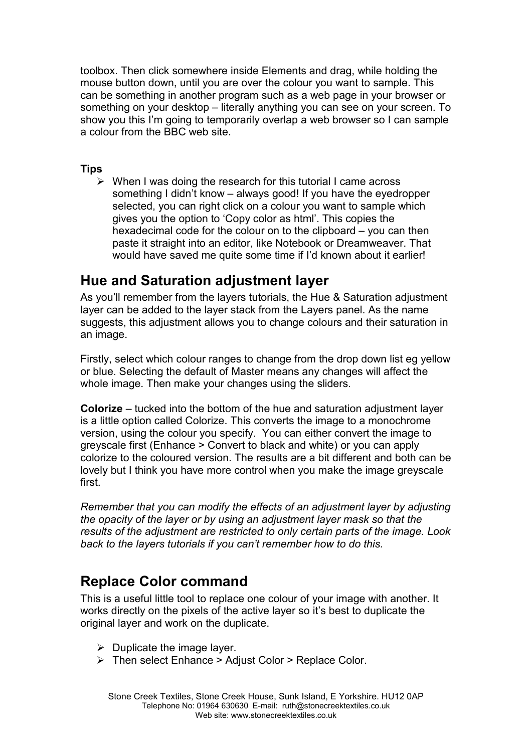toolbox. Then click somewhere inside Elements and drag, while holding the mouse button down, until you are over the colour you want to sample. This can be something in another program such as a web page in your browser or something on your desktop – literally anything you can see on your screen. To show you this I'm going to temporarily overlap a web browser so I can sample a colour from the BBC web site.

#### **Tips**

 $\triangleright$  When I was doing the research for this tutorial I came across something I didn't know – always good! If you have the eyedropper selected, you can right click on a colour you want to sample which gives you the option to 'Copy color as html'. This copies the hexadecimal code for the colour on to the clipboard – you can then paste it straight into an editor, like Notebook or Dreamweaver. That would have saved me quite some time if I'd known about it earlier!

### **Hue and Saturation adjustment layer**

As you'll remember from the layers tutorials, the Hue & Saturation adjustment layer can be added to the layer stack from the Layers panel. As the name suggests, this adjustment allows you to change colours and their saturation in an image.

Firstly, select which colour ranges to change from the drop down list eg yellow or blue. Selecting the default of Master means any changes will affect the whole image. Then make your changes using the sliders.

**Colorize** – tucked into the bottom of the hue and saturation adjustment layer is a little option called Colorize. This converts the image to a monochrome version, using the colour you specify. You can either convert the image to greyscale first (Enhance > Convert to black and white) or you can apply colorize to the coloured version. The results are a bit different and both can be lovely but I think you have more control when you make the image greyscale first.

*Remember that you can modify the effects of an adjustment layer by adjusting the opacity of the layer or by using an adjustment layer mask so that the results of the adjustment are restricted to only certain parts of the image. Look back to the layers tutorials if you can't remember how to do this.* 

### **Replace Color command**

This is a useful little tool to replace one colour of your image with another. It works directly on the pixels of the active layer so it's best to duplicate the original layer and work on the duplicate.

- $\triangleright$  Duplicate the image layer.
- > Then select Enhance > Adjust Color > Replace Color.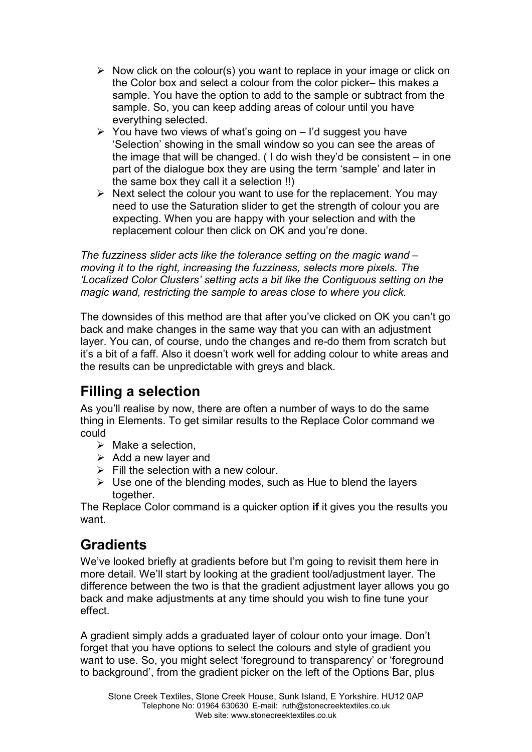- $\triangleright$  Now click on the colour(s) you want to replace in your image or click on the Color box and select a colour from the color picker– this makes a sample. You have the option to add to the sample or subtract from the sample. So, you can keep adding areas of colour until you have everything selected.
- $\triangleright$  You have two views of what's going on I'd suggest you have 'Selection' showing in the small window so you can see the areas of the image that will be changed. ( I do wish they'd be consistent – in one part of the dialogue box they are using the term 'sample' and later in the same box they call it a selection !!)
- $\triangleright$  Next select the colour you want to use for the replacement. You may need to use the Saturation slider to get the strength of colour you are expecting. When you are happy with your selection and with the replacement colour then click on OK and you're done.

*The fuzziness slider acts like the tolerance setting on the magic wand – moving it to the right, increasing the fuzziness, selects more pixels. The 'Localized Color Clusters' setting acts a bit like the Contiguous setting on the magic wand, restricting the sample to areas close to where you click.* 

The downsides of this method are that after you've clicked on OK you can't go back and make changes in the same way that you can with an adjustment layer. You can, of course, undo the changes and re-do them from scratch but it's a bit of a faff. Also it doesn't work well for adding colour to white areas and the results can be unpredictable with greys and black.

### **Filling a selection**

As you'll realise by now, there are often a number of ways to do the same thing in Elements. To get similar results to the Replace Color command we could

- $\triangleright$  Make a selection.
- $\triangleright$  Add a new layer and
- $\triangleright$  Fill the selection with a new colour.
- $\triangleright$  Use one of the blending modes, such as Hue to blend the layers together.

The Replace Color command is a quicker option **if** it gives you the results you want.

### **Gradients**

We've looked briefly at gradients before but I'm going to revisit them here in more detail. We'll start by looking at the gradient tool/adjustment layer. The difference between the two is that the gradient adjustment layer allows you go back and make adjustments at any time should you wish to fine tune your effect.

A gradient simply adds a graduated layer of colour onto your image. Don't forget that you have options to select the colours and style of gradient you want to use. So, you might select 'foreground to transparency' or 'foreground to background', from the gradient picker on the left of the Options Bar, plus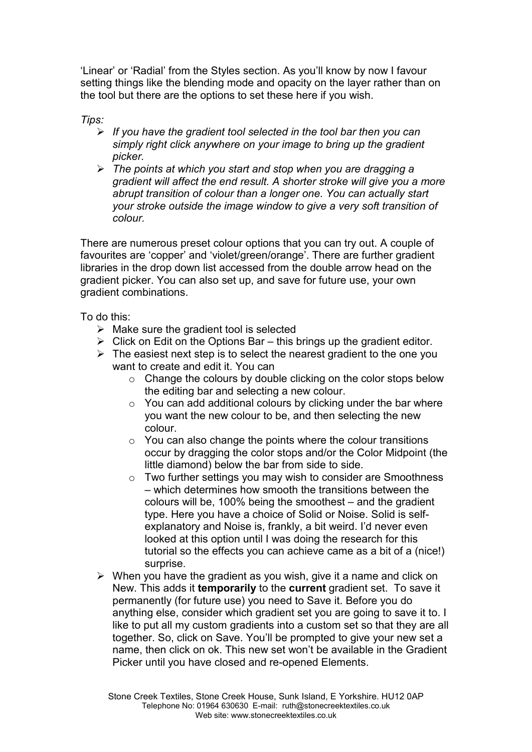'Linear' or 'Radial' from the Styles section. As you'll know by now I favour setting things like the blending mode and opacity on the layer rather than on the tool but there are the options to set these here if you wish.

*Tips:* 

- *If you have the gradient tool selected in the tool bar then you can simply right click anywhere on your image to bring up the gradient picker.*
- *The points at which you start and stop when you are dragging a gradient will affect the end result. A shorter stroke will give you a more abrupt transition of colour than a longer one. You can actually start your stroke outside the image window to give a very soft transition of colour.*

There are numerous preset colour options that you can try out. A couple of favourites are 'copper' and 'violet/green/orange'. There are further gradient libraries in the drop down list accessed from the double arrow head on the gradient picker. You can also set up, and save for future use, your own gradient combinations.

To do this:

- $\triangleright$  Make sure the gradient tool is selected
- $\triangleright$  Click on Edit on the Options Bar this brings up the gradient editor.
- $\triangleright$  The easiest next step is to select the nearest gradient to the one you want to create and edit it. You can
	- $\circ$  Change the colours by double clicking on the color stops below the editing bar and selecting a new colour.
	- $\circ$  You can add additional colours by clicking under the bar where you want the new colour to be, and then selecting the new colour.
	- $\circ$  You can also change the points where the colour transitions occur by dragging the color stops and/or the Color Midpoint (the little diamond) below the bar from side to side.
	- o Two further settings you may wish to consider are Smoothness – which determines how smooth the transitions between the colours will be, 100% being the smoothest – and the gradient type. Here you have a choice of Solid or Noise. Solid is selfexplanatory and Noise is, frankly, a bit weird. I'd never even looked at this option until I was doing the research for this tutorial so the effects you can achieve came as a bit of a (nice!) surprise.
- $\triangleright$  When you have the gradient as you wish, give it a name and click on New. This adds it **temporarily** to the **current** gradient set. To save it permanently (for future use) you need to Save it. Before you do anything else, consider which gradient set you are going to save it to. I like to put all my custom gradients into a custom set so that they are all together. So, click on Save. You'll be prompted to give your new set a name, then click on ok. This new set won't be available in the Gradient Picker until you have closed and re-opened Elements.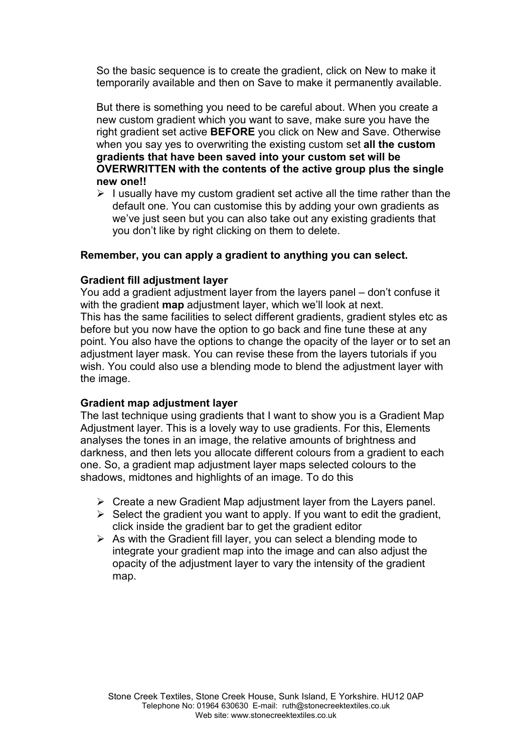So the basic sequence is to create the gradient, click on New to make it temporarily available and then on Save to make it permanently available.

But there is something you need to be careful about. When you create a new custom gradient which you want to save, make sure you have the right gradient set active **BEFORE** you click on New and Save. Otherwise when you say yes to overwriting the existing custom set **all the custom gradients that have been saved into your custom set will be OVERWRITTEN with the contents of the active group plus the single new one!!**

 $\triangleright$  I usually have my custom gradient set active all the time rather than the default one. You can customise this by adding your own gradients as we've just seen but you can also take out any existing gradients that you don't like by right clicking on them to delete.

#### **Remember, you can apply a gradient to anything you can select.**

#### **Gradient fill adjustment layer**

You add a gradient adjustment layer from the layers panel – don't confuse it with the gradient **map** adjustment layer, which we'll look at next. This has the same facilities to select different gradients, gradient styles etc as before but you now have the option to go back and fine tune these at any point. You also have the options to change the opacity of the layer or to set an adjustment layer mask. You can revise these from the layers tutorials if you wish. You could also use a blending mode to blend the adjustment layer with the image.

#### **Gradient map adjustment layer**

The last technique using gradients that I want to show you is a Gradient Map Adjustment layer. This is a lovely way to use gradients. For this, Elements analyses the tones in an image, the relative amounts of brightness and darkness, and then lets you allocate different colours from a gradient to each one. So, a gradient map adjustment layer maps selected colours to the shadows, midtones and highlights of an image. To do this

- $\triangleright$  Create a new Gradient Map adjustment layer from the Layers panel.
- $\triangleright$  Select the gradient you want to apply. If you want to edit the gradient, click inside the gradient bar to get the gradient editor
- $\triangleright$  As with the Gradient fill layer, you can select a blending mode to integrate your gradient map into the image and can also adjust the opacity of the adjustment layer to vary the intensity of the gradient map.